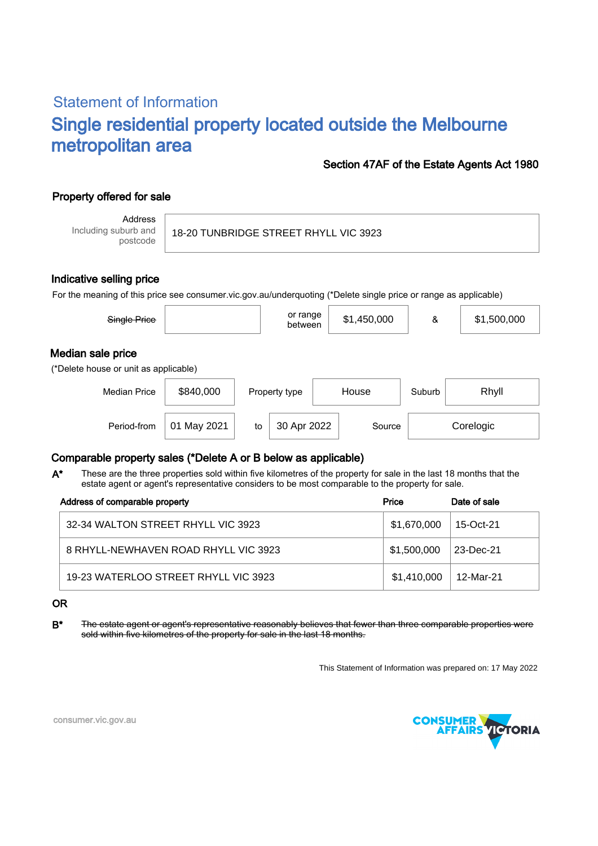# Statement of Information Single residential property located outside the Melbourne metropolitan area

### Section 47AF of the Estate Agents Act 1980

# Property offered for sale

Address Including suburb and postcode

18-20 TUNBRIDGE STREET RHYLL VIC 3923

#### Indicative selling price

For the meaning of this price see consumer.vic.gov.au/underquoting (\*Delete single price or range as applicable)

| Single Price                                               |           |    | or range<br>between |       | \$1,450,000 | &      | \$1,500,000 |  |
|------------------------------------------------------------|-----------|----|---------------------|-------|-------------|--------|-------------|--|
| Median sale price<br>(*Delete house or unit as applicable) |           |    |                     |       |             |        |             |  |
| <b>Median Price</b>                                        | \$840,000 |    | Property type       | House |             | Suburb | Rhyll       |  |
| Period-from                                                | May 2021  | to | 30 Apr 2022         |       | Source      |        | Corelogic   |  |

## Comparable property sales (\*Delete A or B below as applicable)

These are the three properties sold within five kilometres of the property for sale in the last 18 months that the estate agent or agent's representative considers to be most comparable to the property for sale. A\*

| Address of comparable property       | Price       | Date of sale           |
|--------------------------------------|-------------|------------------------|
| 32-34 WALTON STREET RHYLL VIC 3923   | \$1,670,000 | 15-Oct-21 <sup>1</sup> |
| 8 RHYLL-NEWHAVEN ROAD RHYLL VIC 3923 | \$1.500.000 | 23-Dec-21              |
| 19-23 WATERLOO STREET RHYLL VIC 3923 | \$1,410,000 | 12-Mar-21              |

OR

B<sup>\*</sup> The estate agent or agent's representative reasonably believes that fewer than three comparable properties were sold within five kilometres of the property for sale in the last 18 months.

This Statement of Information was prepared on: 17 May 2022



consumer.vic.gov.au